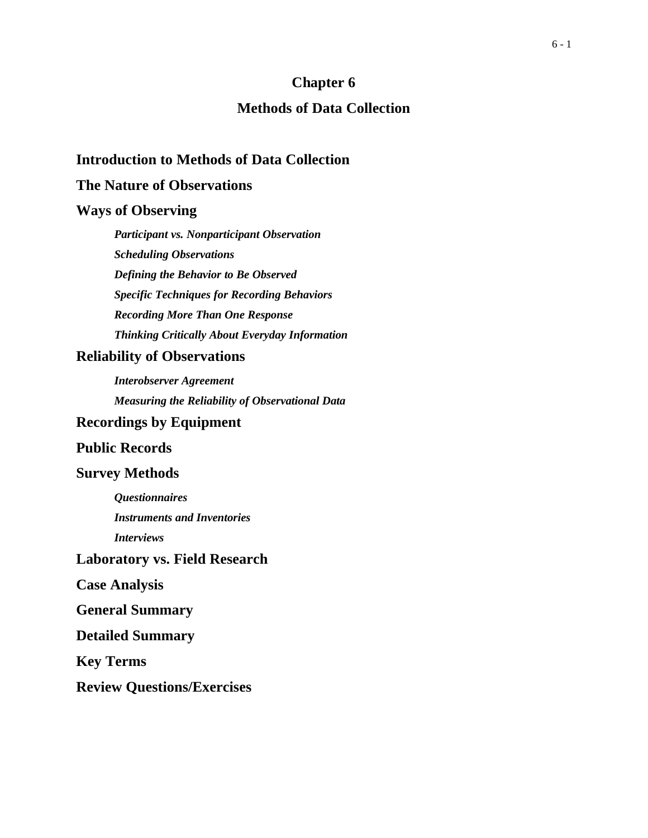# **Chapter 6**

# **Methods of Data Collection**

# **Introduction to Methods of Data Collection**

# **The Nature of Observations**

# **Ways of Observing**

*Participant vs. Nonparticipant Observation Scheduling Observations Defining the Behavior to Be Observed Specific Techniques for Recording Behaviors Recording More Than One Response Thinking Critically About Everyday Information*

## **Reliability of Observations**

*Interobserver Agreement Measuring the Reliability of Observational Data*

# **Recordings by Equipment**

## **Public Records**

# **Survey Methods**

*Questionnaires Instruments and Inventories Interviews*

# **Laboratory vs. Field Research**

**Case Analysis**

# **General Summary**

**Detailed Summary**

**Key Terms** 

**Review Questions/Exercises**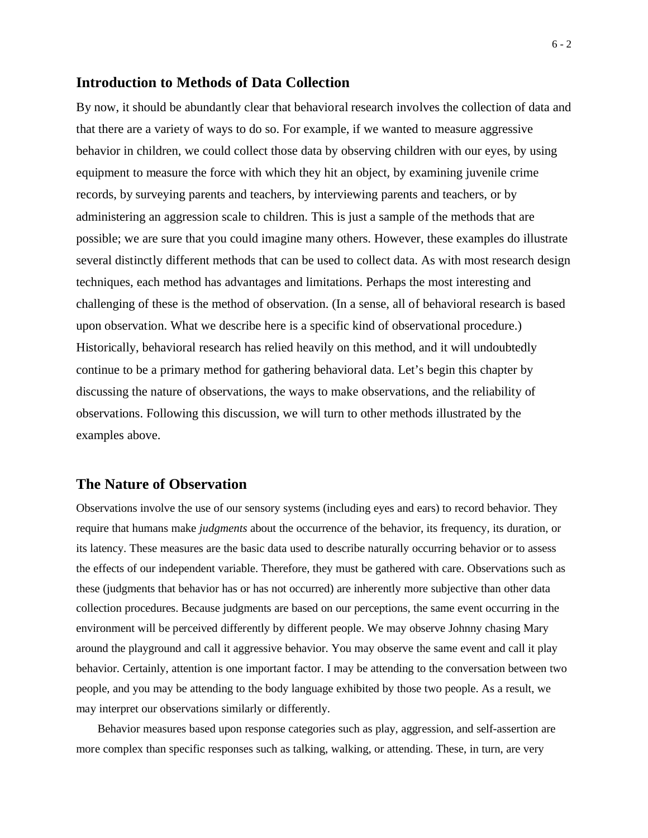## **Introduction to Methods of Data Collection**

By now, it should be abundantly clear that behavioral research involves the collection of data and that there are a variety of ways to do so. For example, if we wanted to measure aggressive behavior in children, we could collect those data by observing children with our eyes, by using equipment to measure the force with which they hit an object, by examining juvenile crime records, by surveying parents and teachers, by interviewing parents and teachers, or by administering an aggression scale to children. This is just a sample of the methods that are possible; we are sure that you could imagine many others. However, these examples do illustrate several distinctly different methods that can be used to collect data. As with most research design techniques, each method has advantages and limitations. Perhaps the most interesting and challenging of these is the method of observation. (In a sense, all of behavioral research is based upon observation. What we describe here is a specific kind of observational procedure.) Historically, behavioral research has relied heavily on this method, and it will undoubtedly continue to be a primary method for gathering behavioral data. Let's begin this chapter by discussing the nature of observations, the ways to make observations, and the reliability of observations. Following this discussion, we will turn to other methods illustrated by the examples above.

## **The Nature of Observation**

Observations involve the use of our sensory systems (including eyes and ears) to record behavior. They require that humans make *judgments* about the occurrence of the behavior, its frequency, its duration, or its latency. These measures are the basic data used to describe naturally occurring behavior or to assess the effects of our independent variable. Therefore, they must be gathered with care. Observations such as these (judgments that behavior has or has not occurred) are inherently more subjective than other data collection procedures. Because judgments are based on our perceptions, the same event occurring in the environment will be perceived differently by different people. We may observe Johnny chasing Mary around the playground and call it aggressive behavior. You may observe the same event and call it play behavior. Certainly, attention is one important factor. I may be attending to the conversation between two people, and you may be attending to the body language exhibited by those two people. As a result, we may interpret our observations similarly or differently.

Behavior measures based upon response categories such as play, aggression, and self-assertion are more complex than specific responses such as talking, walking, or attending. These, in turn, are very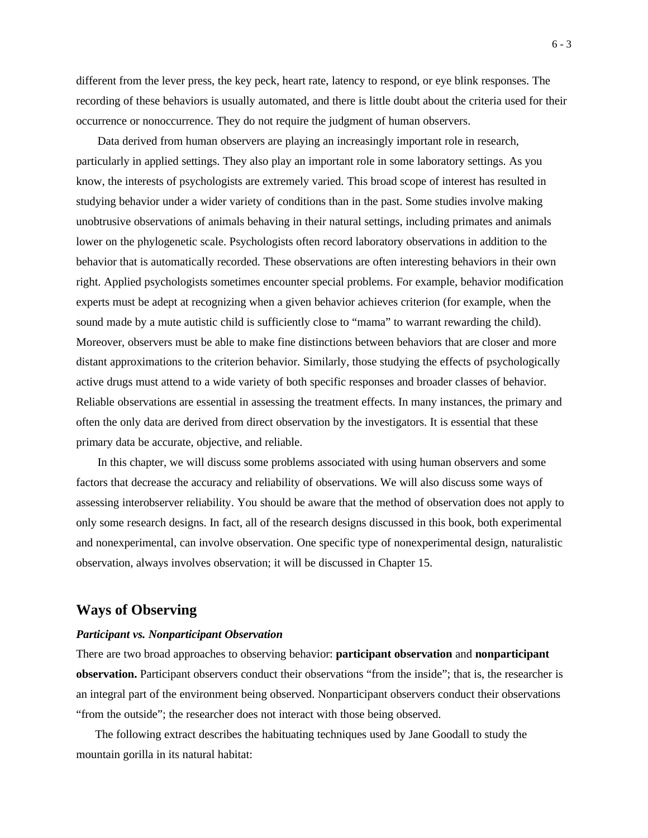different from the lever press, the key peck, heart rate, latency to respond, or eye blink responses. The recording of these behaviors is usually automated, and there is little doubt about the criteria used for their occurrence or nonoccurrence. They do not require the judgment of human observers.

Data derived from human observers are playing an increasingly important role in research, particularly in applied settings. They also play an important role in some laboratory settings. As you know, the interests of psychologists are extremely varied. This broad scope of interest has resulted in studying behavior under a wider variety of conditions than in the past. Some studies involve making unobtrusive observations of animals behaving in their natural settings, including primates and animals lower on the phylogenetic scale. Psychologists often record laboratory observations in addition to the behavior that is automatically recorded. These observations are often interesting behaviors in their own right. Applied psychologists sometimes encounter special problems. For example, behavior modification experts must be adept at recognizing when a given behavior achieves criterion (for example, when the sound made by a mute autistic child is sufficiently close to "mama" to warrant rewarding the child). Moreover, observers must be able to make fine distinctions between behaviors that are closer and more distant approximations to the criterion behavior. Similarly, those studying the effects of psychologically active drugs must attend to a wide variety of both specific responses and broader classes of behavior. Reliable observations are essential in assessing the treatment effects. In many instances, the primary and often the only data are derived from direct observation by the investigators. It is essential that these primary data be accurate, objective, and reliable.

In this chapter, we will discuss some problems associated with using human observers and some factors that decrease the accuracy and reliability of observations. We will also discuss some ways of assessing interobserver reliability. You should be aware that the method of observation does not apply to only some research designs. In fact, all of the research designs discussed in this book, both experimental and nonexperimental, can involve observation. One specific type of nonexperimental design, naturalistic observation, always involves observation; it will be discussed in Chapter 15.

# **Ways of Observing**

#### *Participant vs. Nonparticipant Observation*

There are two broad approaches to observing behavior: **participant observation** and **nonparticipant observation.** Participant observers conduct their observations "from the inside"; that is, the researcher is an integral part of the environment being observed. Nonparticipant observers conduct their observations "from the outside"; the researcher does not interact with those being observed.

The following extract describes the habituating techniques used by Jane Goodall to study the mountain gorilla in its natural habitat: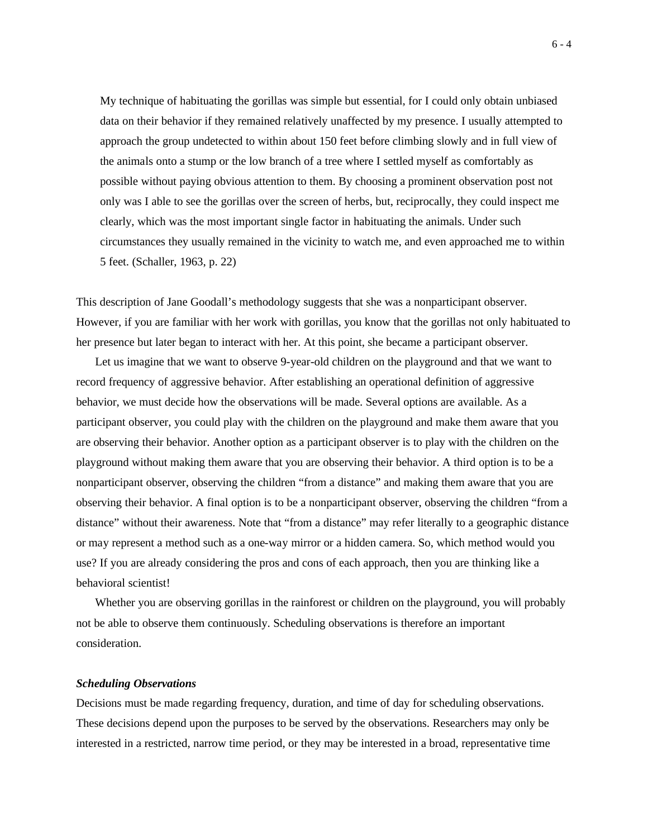My technique of habituating the gorillas was simple but essential, for I could only obtain unbiased data on their behavior if they remained relatively unaffected by my presence. I usually attempted to approach the group undetected to within about 150 feet before climbing slowly and in full view of the animals onto a stump or the low branch of a tree where I settled myself as comfortably as possible without paying obvious attention to them. By choosing a prominent observation post not only was I able to see the gorillas over the screen of herbs, but, reciprocally, they could inspect me clearly, which was the most important single factor in habituating the animals. Under such circumstances they usually remained in the vicinity to watch me, and even approached me to within 5 feet. (Schaller, 1963, p. 22)

This description of Jane Goodall's methodology suggests that she was a nonparticipant observer. However, if you are familiar with her work with gorillas, you know that the gorillas not only habituated to her presence but later began to interact with her. At this point, she became a participant observer.

Let us imagine that we want to observe 9-year-old children on the playground and that we want to record frequency of aggressive behavior. After establishing an operational definition of aggressive behavior, we must decide how the observations will be made. Several options are available. As a participant observer, you could play with the children on the playground and make them aware that you are observing their behavior. Another option as a participant observer is to play with the children on the playground without making them aware that you are observing their behavior. A third option is to be a nonparticipant observer, observing the children "from a distance" and making them aware that you are observing their behavior. A final option is to be a nonparticipant observer, observing the children "from a distance" without their awareness. Note that "from a distance" may refer literally to a geographic distance or may represent a method such as a one-way mirror or a hidden camera. So, which method would you use? If you are already considering the pros and cons of each approach, then you are thinking like a behavioral scientist!

Whether you are observing gorillas in the rainforest or children on the playground, you will probably not be able to observe them continuously. Scheduling observations is therefore an important consideration.

#### *Scheduling Observations*

Decisions must be made regarding frequency, duration, and time of day for scheduling observations. These decisions depend upon the purposes to be served by the observations. Researchers may only be interested in a restricted, narrow time period, or they may be interested in a broad, representative time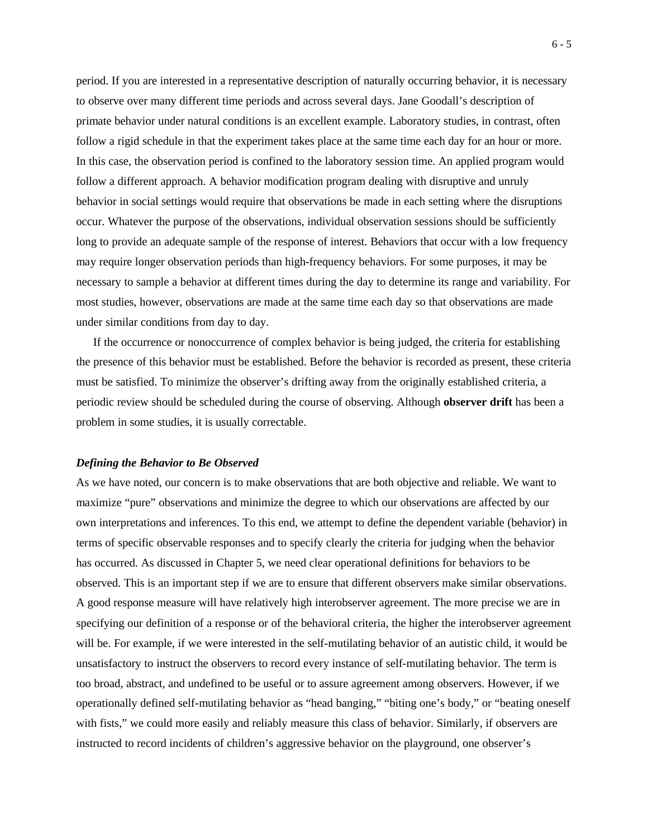period. If you are interested in a representative description of naturally occurring behavior, it is necessary to observe over many different time periods and across several days. Jane Goodall's description of primate behavior under natural conditions is an excellent example. Laboratory studies, in contrast, often follow a rigid schedule in that the experiment takes place at the same time each day for an hour or more. In this case, the observation period is confined to the laboratory session time. An applied program would follow a different approach. A behavior modification program dealing with disruptive and unruly behavior in social settings would require that observations be made in each setting where the disruptions occur. Whatever the purpose of the observations, individual observation sessions should be sufficiently long to provide an adequate sample of the response of interest. Behaviors that occur with a low frequency may require longer observation periods than high-frequency behaviors. For some purposes, it may be necessary to sample a behavior at different times during the day to determine its range and variability. For most studies, however, observations are made at the same time each day so that observations are made under similar conditions from day to day.

If the occurrence or nonoccurrence of complex behavior is being judged, the criteria for establishing the presence of this behavior must be established. Before the behavior is recorded as present, these criteria must be satisfied. To minimize the observer's drifting away from the originally established criteria, a periodic review should be scheduled during the course of observing. Although **observer drift** has been a problem in some studies, it is usually correctable.

#### *Defining the Behavior to Be Observed*

As we have noted, our concern is to make observations that are both objective and reliable. We want to maximize "pure" observations and minimize the degree to which our observations are affected by our own interpretations and inferences. To this end, we attempt to define the dependent variable (behavior) in terms of specific observable responses and to specify clearly the criteria for judging when the behavior has occurred. As discussed in Chapter 5, we need clear operational definitions for behaviors to be observed. This is an important step if we are to ensure that different observers make similar observations. A good response measure will have relatively high interobserver agreement. The more precise we are in specifying our definition of a response or of the behavioral criteria, the higher the interobserver agreement will be. For example, if we were interested in the self-mutilating behavior of an autistic child, it would be unsatisfactory to instruct the observers to record every instance of self-mutilating behavior. The term is too broad, abstract, and undefined to be useful or to assure agreement among observers. However, if we operationally defined self-mutilating behavior as "head banging," "biting one's body," or "beating oneself with fists," we could more easily and reliably measure this class of behavior. Similarly, if observers are instructed to record incidents of children's aggressive behavior on the playground, one observer's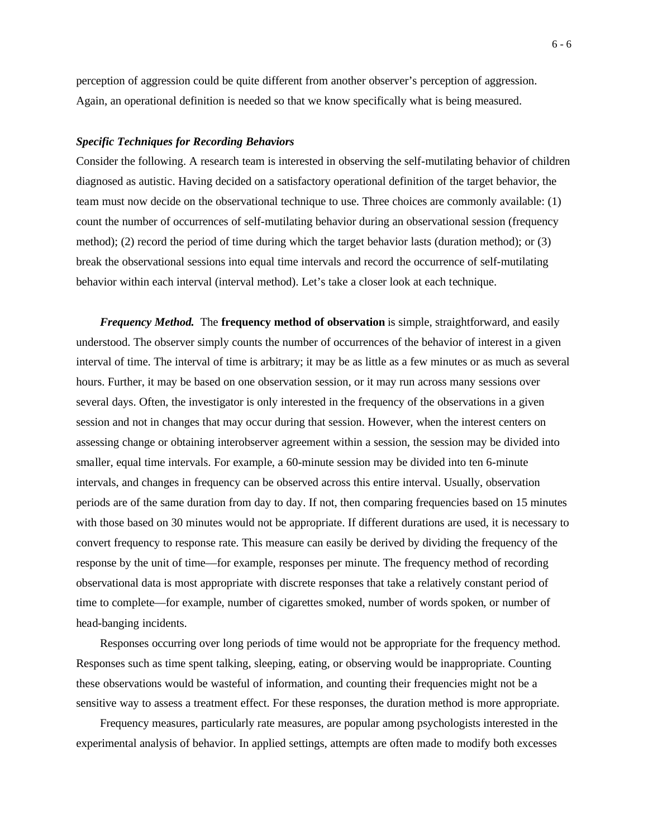perception of aggression could be quite different from another observer's perception of aggression. Again, an operational definition is needed so that we know specifically what is being measured.

#### *Specific Techniques for Recording Behaviors*

Consider the following. A research team is interested in observing the self-mutilating behavior of children diagnosed as autistic. Having decided on a satisfactory operational definition of the target behavior, the team must now decide on the observational technique to use. Three choices are commonly available: (1) count the number of occurrences of self-mutilating behavior during an observational session (frequency method); (2) record the period of time during which the target behavior lasts (duration method); or (3) break the observational sessions into equal time intervals and record the occurrence of self-mutilating behavior within each interval (interval method). Let's take a closer look at each technique.

*Frequency Method.* The **frequency method of observation** is simple, straightforward, and easily understood. The observer simply counts the number of occurrences of the behavior of interest in a given interval of time. The interval of time is arbitrary; it may be as little as a few minutes or as much as several hours. Further, it may be based on one observation session, or it may run across many sessions over several days. Often, the investigator is only interested in the frequency of the observations in a given session and not in changes that may occur during that session. However, when the interest centers on assessing change or obtaining interobserver agreement within a session, the session may be divided into smaller, equal time intervals. For example, a 60-minute session may be divided into ten 6-minute intervals, and changes in frequency can be observed across this entire interval. Usually, observation periods are of the same duration from day to day. If not, then comparing frequencies based on 15 minutes with those based on 30 minutes would not be appropriate. If different durations are used, it is necessary to convert frequency to response rate. This measure can easily be derived by dividing the frequency of the response by the unit of time—for example, responses per minute. The frequency method of recording observational data is most appropriate with discrete responses that take a relatively constant period of time to complete—for example, number of cigarettes smoked, number of words spoken, or number of head-banging incidents.

Responses occurring over long periods of time would not be appropriate for the frequency method. Responses such as time spent talking, sleeping, eating, or observing would be inappropriate. Counting these observations would be wasteful of information, and counting their frequencies might not be a sensitive way to assess a treatment effect. For these responses, the duration method is more appropriate.

Frequency measures, particularly rate measures, are popular among psychologists interested in the experimental analysis of behavior. In applied settings, attempts are often made to modify both excesses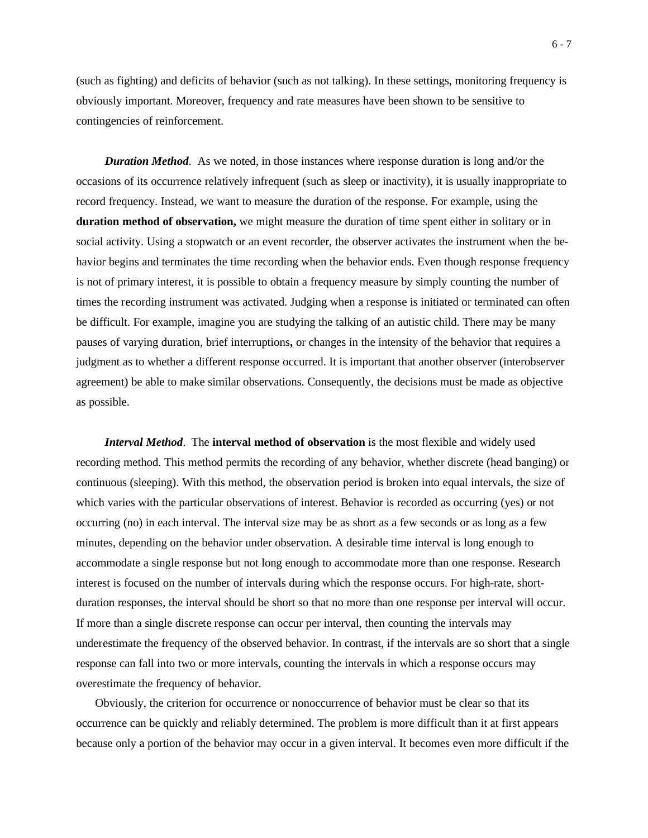(such as fighting) and deficits of behavior (such as not talking). In these settings, monitoring frequency is obviously important. Moreover, frequency and rate measures have been shown to be sensitive to contingencies of reinforcement.

*Duration Method*. As we noted, in those instances where response duration is long and/or the occasions of its occurrence relatively infrequent (such as sleep or inactivity), it is usually inappropriate to record frequency. Instead, we want to measure the duration of the response. For example, using the **duration method of observation,** we might measure the duration of time spent either in solitary or in social activity. Using a stopwatch or an event recorder, the observer activates the instrument when the behavior begins and terminates the time recording when the behavior ends. Even though response frequency is not of primary interest, it is possible to obtain a frequency measure by simply counting the number of times the recording instrument was activated. Judging when a response is initiated or terminated can often be difficult. For example, imagine you are studying the talking of an autistic child. There may be many pauses of varying duration, brief interruptions**,** or changes in the intensity of the behavior that requires a judgment as to whether a different response occurred. It is important that another observer (interobserver agreement) be able to make similar observations. Consequently, the decisions must be made as objective as possible.

*Interval Method*. The **interval method of observation** is the most flexible and widely used recording method. This method permits the recording of any behavior, whether discrete (head banging) or continuous (sleeping). With this method, the observation period is broken into equal intervals, the size of which varies with the particular observations of interest. Behavior is recorded as occurring (yes) or not occurring (no) in each interval. The interval size may be as short as a few seconds or as long as a few minutes, depending on the behavior under observation. A desirable time interval is long enough to accommodate a single response but not long enough to accommodate more than one response. Research interest is focused on the number of intervals during which the response occurs. For high-rate, shortduration responses, the interval should be short so that no more than one response per interval will occur. If more than a single discrete response can occur per interval, then counting the intervals may underestimate the frequency of the observed behavior. In contrast, if the intervals are so short that a single response can fall into two or more intervals, counting the intervals in which a response occurs may overestimate the frequency of behavior.

Obviously, the criterion for occurrence or nonoccurrence of behavior must be clear so that its occurrence can be quickly and reliably determined. The problem is more difficult than it at first appears because only a portion of the behavior may occur in a given interval. It becomes even more difficult if the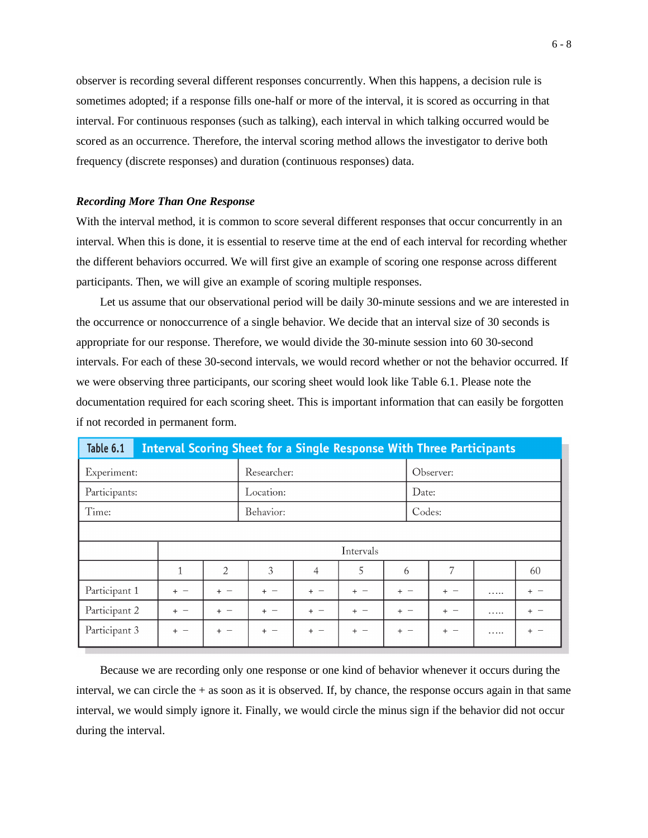observer is recording several different responses concurrently. When this happens, a decision rule is sometimes adopted; if a response fills one-half or more of the interval, it is scored as occurring in that interval. For continuous responses (such as talking), each interval in which talking occurred would be scored as an occurrence. Therefore, the interval scoring method allows the investigator to derive both frequency (discrete responses) and duration (continuous responses) data.

#### *Recording More Than One Response*

With the interval method, it is common to score several different responses that occur concurrently in an interval. When this is done, it is essential to reserve time at the end of each interval for recording whether the different behaviors occurred. We will first give an example of scoring one response across different participants. Then, we will give an example of scoring multiple responses.

Let us assume that our observational period will be daily 30-minute sessions and we are interested in the occurrence or nonoccurrence of a single behavior. We decide that an interval size of 30 seconds is appropriate for our response. Therefore, we would divide the 30-minute session into 60 30-second intervals. For each of these 30-second intervals, we would record whether or not the behavior occurred. If we were observing three participants, our scoring sheet would look like Table 6.1. Please note the documentation required for each scoring sheet. This is important information that can easily be forgotten if not recorded in permanent form.

| Table 6.1<br><b>Interval Scoring Sheet for a Single Response With Three Participants</b> |  |         |   |                     |   |         |         |           |   |         |  |
|------------------------------------------------------------------------------------------|--|---------|---|---------------------|---|---------|---------|-----------|---|---------|--|
| Experiment:                                                                              |  |         |   | Researcher:         |   |         |         | Observer: |   |         |  |
| Participants:                                                                            |  |         |   | Location:           |   |         |         | Date:     |   |         |  |
| Time:                                                                                    |  |         |   | Behavior:<br>Codes: |   |         |         |           |   |         |  |
|                                                                                          |  |         |   |                     |   |         |         |           |   |         |  |
|                                                                                          |  |         |   | Intervals           |   |         |         |           |   |         |  |
|                                                                                          |  |         | 2 | 3                   | 4 | 5       | 6       | 7         |   | 60      |  |
| Participant 1                                                                            |  | $+ -$   |   | $+$ $-$             |   | $+$ $-$ | $+$ $-$ | $+$ $-$   | . | $+$ $-$ |  |
| Participant 2                                                                            |  |         |   | $\pm$               |   | $+$     | $+$ $-$ | $+$ $-$   | . | $+$ $-$ |  |
| Participant 3                                                                            |  | $+$ $-$ |   | $+$                 |   | $+$ $-$ | $+$ $-$ | $+$ $-$   | . | $^{+}$  |  |

Because we are recording only one response or one kind of behavior whenever it occurs during the interval, we can circle the + as soon as it is observed. If, by chance, the response occurs again in that same interval, we would simply ignore it. Finally, we would circle the minus sign if the behavior did not occur during the interval.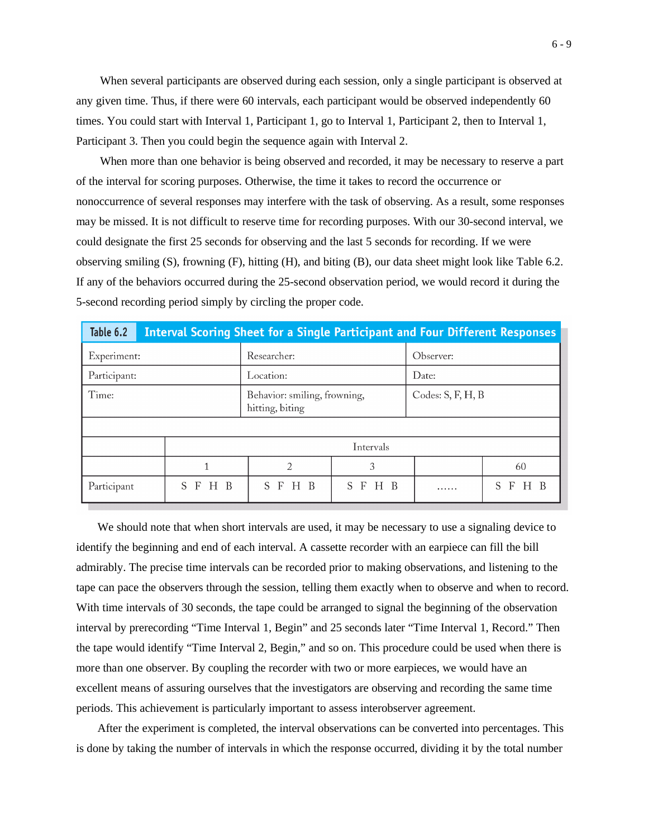When several participants are observed during each session, only a single participant is observed at any given time. Thus, if there were 60 intervals, each participant would be observed independently 60 times. You could start with Interval 1, Participant 1, go to Interval 1, Participant 2, then to Interval 1, Participant 3. Then you could begin the sequence again with Interval 2.

When more than one behavior is being observed and recorded, it may be necessary to reserve a part of the interval for scoring purposes. Otherwise, the time it takes to record the occurrence or nonoccurrence of several responses may interfere with the task of observing. As a result, some responses may be missed. It is not difficult to reserve time for recording purposes. With our 30-second interval, we could designate the first 25 seconds for observing and the last 5 seconds for recording. If we were observing smiling (S), frowning (F), hitting (H), and biting (B), our data sheet might look like Table 6.2. If any of the behaviors occurred during the 25-second observation period, we would record it during the 5-second recording period simply by circling the proper code.

| Table 6.2    | <b>Interval Scoring Sheet for a Single Participant and Four Different Responses</b> |           |                                                 |                             |                             |                 |  |
|--------------|-------------------------------------------------------------------------------------|-----------|-------------------------------------------------|-----------------------------|-----------------------------|-----------------|--|
| Experiment:  |                                                                                     |           | Researcher:                                     |                             | Observer:                   |                 |  |
| Participant: |                                                                                     |           | Location:                                       |                             | Date:                       |                 |  |
| Time:        |                                                                                     |           | Behavior: smiling, frowning,<br>hitting, biting |                             | $\text{Codes: } S, F, H, B$ |                 |  |
|              |                                                                                     |           |                                                 |                             |                             |                 |  |
|              |                                                                                     | Intervals |                                                 |                             |                             |                 |  |
|              |                                                                                     |           | 2                                               | 3                           |                             | 60              |  |
| Participant  |                                                                                     | S F H B   | S F H B                                         | $\vert F \vert$<br>H B<br>S | .                           | F<br>$H$ B<br>S |  |

We should note that when short intervals are used, it may be necessary to use a signaling device to identify the beginning and end of each interval. A cassette recorder with an earpiece can fill the bill admirably. The precise time intervals can be recorded prior to making observations, and listening to the tape can pace the observers through the session, telling them exactly when to observe and when to record. With time intervals of 30 seconds, the tape could be arranged to signal the beginning of the observation interval by prerecording "Time Interval 1, Begin" and 25 seconds later "Time Interval 1, Record." Then the tape would identify "Time Interval 2, Begin," and so on. This procedure could be used when there is more than one observer. By coupling the recorder with two or more earpieces, we would have an excellent means of assuring ourselves that the investigators are observing and recording the same time periods. This achievement is particularly important to assess interobserver agreement.

After the experiment is completed, the interval observations can be converted into percentages. This is done by taking the number of intervals in which the response occurred, dividing it by the total number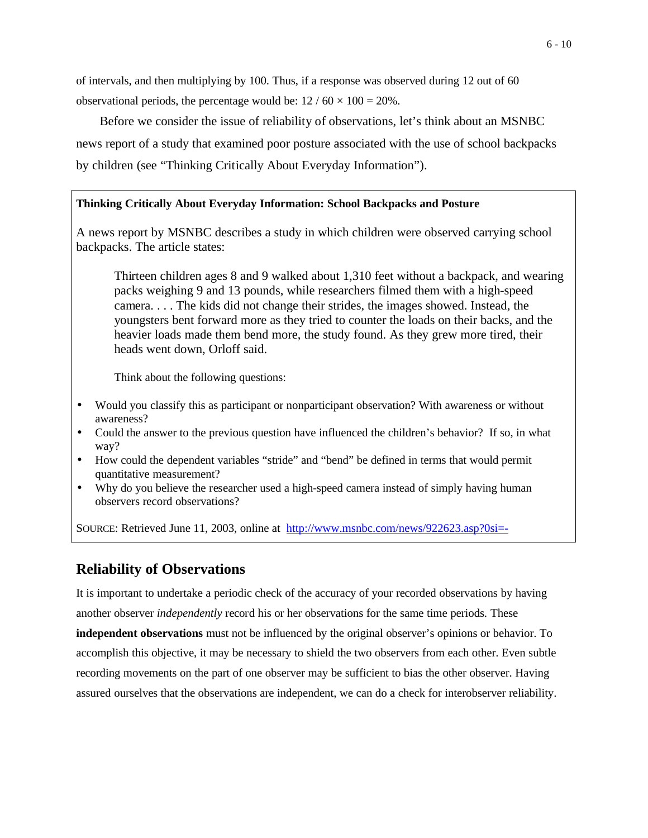of intervals, and then multiplying by 100. Thus, if a response was observed during 12 out of 60 observational periods, the percentage would be:  $12 / 60 \times 100 = 20\%$ .

Before we consider the issue of reliability of observations, let's think about an MSNBC news report of a study that examined poor posture associated with the use of school backpacks by children (see "Thinking Critically About Everyday Information").

## **Thinking Critically About Everyday Information: School Backpacks and Posture**

A news report by MSNBC describes a study in which children were observed carrying school backpacks. The article states:

Thirteen children ages 8 and 9 walked about 1,310 feet without a backpack, and wearing packs weighing 9 and 13 pounds, while researchers filmed them with a high-speed camera. . . . The kids did not change their strides, the images showed. Instead, the youngsters bent forward more as they tried to counter the loads on their backs, and the heavier loads made them bend more, the study found. As they grew more tired, their heads went down, Orloff said.

Think about the following questions:

- Would you classify this as participant or nonparticipant observation? With awareness or without awareness?
- Could the answer to the previous question have influenced the children's behavior? If so, in what way?
- How could the dependent variables "stride" and "bend" be defined in terms that would permit quantitative measurement?
- Why do you believe the researcher used a high-speed camera instead of simply having human observers record observations?

SOURCE: Retrieved June 11, 2003, online at http://www.msnbc.com/news/922623.asp?0si=-

# **Reliability of Observations**

It is important to undertake a periodic check of the accuracy of your recorded observations by having another observer *independently* record his or her observations for the same time periods*.* These **independent observations** must not be influenced by the original observer's opinions or behavior. To accomplish this objective, it may be necessary to shield the two observers from each other. Even subtle recording movements on the part of one observer may be sufficient to bias the other observer. Having assured ourselves that the observations are independent, we can do a check for interobserver reliability.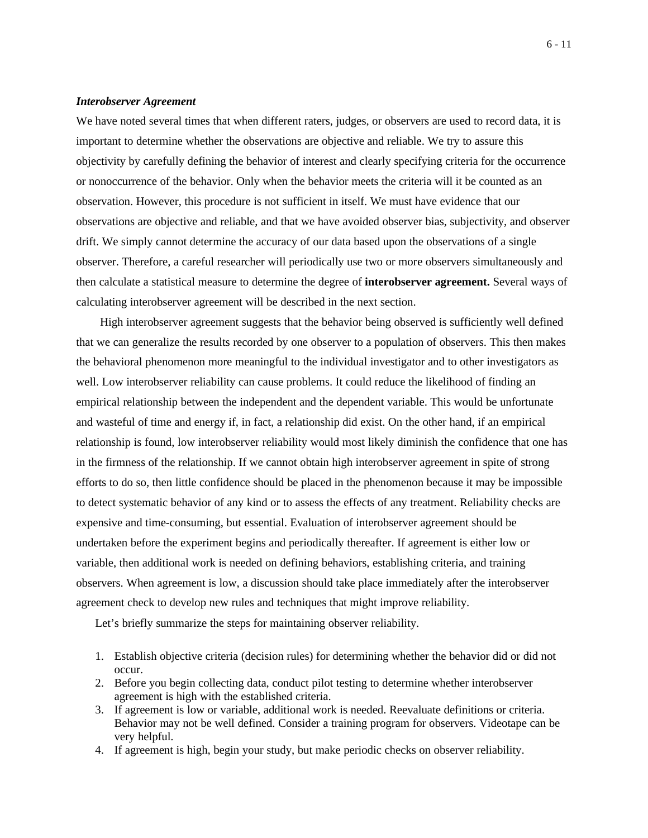#### *Interobserver Agreement*

We have noted several times that when different raters, judges, or observers are used to record data, it is important to determine whether the observations are objective and reliable. We try to assure this objectivity by carefully defining the behavior of interest and clearly specifying criteria for the occurrence or nonoccurrence of the behavior. Only when the behavior meets the criteria will it be counted as an observation. However, this procedure is not sufficient in itself. We must have evidence that our observations are objective and reliable, and that we have avoided observer bias, subjectivity, and observer drift. We simply cannot determine the accuracy of our data based upon the observations of a single observer. Therefore, a careful researcher will periodically use two or more observers simultaneously and then calculate a statistical measure to determine the degree of **interobserver agreement.** Several ways of calculating interobserver agreement will be described in the next section.

High interobserver agreement suggests that the behavior being observed is sufficiently well defined that we can generalize the results recorded by one observer to a population of observers. This then makes the behavioral phenomenon more meaningful to the individual investigator and to other investigators as well. Low interobserver reliability can cause problems. It could reduce the likelihood of finding an empirical relationship between the independent and the dependent variable. This would be unfortunate and wasteful of time and energy if, in fact, a relationship did exist. On the other hand, if an empirical relationship is found, low interobserver reliability would most likely diminish the confidence that one has in the firmness of the relationship. If we cannot obtain high interobserver agreement in spite of strong efforts to do so, then little confidence should be placed in the phenomenon because it may be impossible to detect systematic behavior of any kind or to assess the effects of any treatment. Reliability checks are expensive and time-consuming, but essential. Evaluation of interobserver agreement should be undertaken before the experiment begins and periodically thereafter. If agreement is either low or variable, then additional work is needed on defining behaviors, establishing criteria, and training observers. When agreement is low, a discussion should take place immediately after the interobserver agreement check to develop new rules and techniques that might improve reliability.

Let's briefly summarize the steps for maintaining observer reliability.

- 1. Establish objective criteria (decision rules) for determining whether the behavior did or did not occur.
- 2. Before you begin collecting data, conduct pilot testing to determine whether interobserver agreement is high with the established criteria.
- 3. If agreement is low or variable, additional work is needed. Reevaluate definitions or criteria. Behavior may not be well defined. Consider a training program for observers. Videotape can be very helpful.
- 4. If agreement is high, begin your study, but make periodic checks on observer reliability.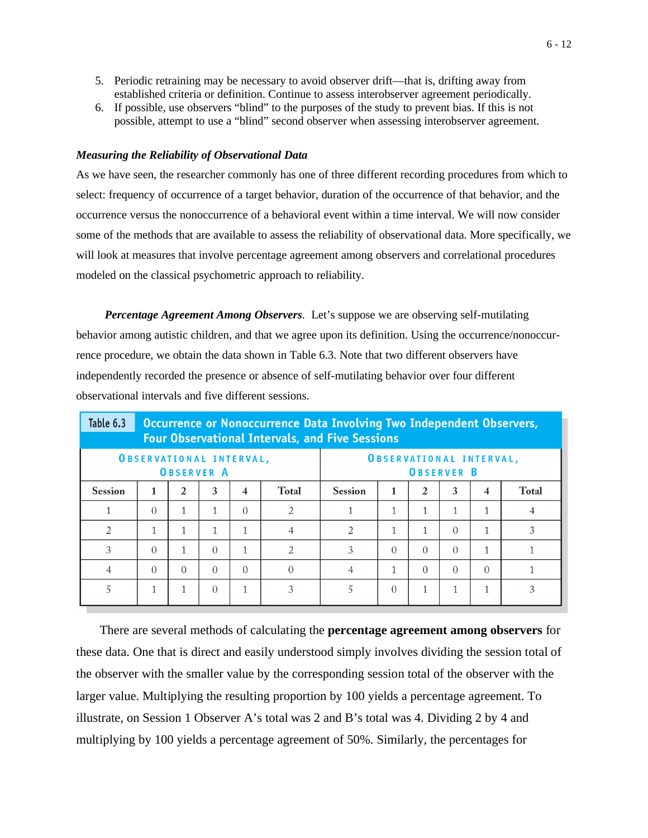- 5. Periodic retraining may be necessary to avoid observer drift—that is, drifting away from established criteria or definition. Continue to assess interobserver agreement periodically.
- 6. If possible, use observers "blind" to the purposes of the study to prevent bias. If this is not possible, attempt to use a "blind" second observer when assessing interobserver agreement.

#### *Measuring the Reliability of Observational Data*

As we have seen, the researcher commonly has one of three different recording procedures from which to select: frequency of occurrence of a target behavior, duration of the occurrence of that behavior, and the occurrence versus the nonoccurrence of a behavioral event within a time interval. We will now consider some of the methods that are available to assess the reliability of observational data. More specifically, we will look at measures that involve percentage agreement among observers and correlational procedures modeled on the classical psychometric approach to reliability.

*Percentage Agreement Among Observers*. Let's suppose we are observing self-mutilating behavior among autistic children, and that we agree upon its definition. Using the occurrence/nonoccurrence procedure, we obtain the data shown in Table 6.3. Note that two different observers have independently recorded the presence or absence of self-mutilating behavior over four different observational intervals and five different sessions.

| Table 6.3                                           | <b>Occurrence or Nonoccurrence Data Involving Two Independent Observers,</b><br><b>Four Observational Intervals, and Five Sessions</b> |              |          |          |                                |                   |                      |          |          |          |              |
|-----------------------------------------------------|----------------------------------------------------------------------------------------------------------------------------------------|--------------|----------|----------|--------------------------------|-------------------|----------------------|----------|----------|----------|--------------|
| <b>OBSERVATIONAL INTERVAL,</b><br><b>OBSERVER A</b> |                                                                                                                                        |              |          |          | <b>OBSERVATIONAL INTERVAL,</b> | <b>OBSERVER B</b> |                      |          |          |          |              |
| <b>Session</b>                                      |                                                                                                                                        | 2            | 3        | 4        | <b>Total</b>                   | <b>Session</b>    | 1                    | 2        | 3        | 4        | <b>Total</b> |
|                                                     | $\Omega$                                                                                                                               | 1            |          | $\Omega$ | $\overline{2}$                 |                   | 1                    | 1        |          | 1        |              |
| $\overline{2}$                                      | 1                                                                                                                                      | 1            |          | 1        | 4                              | $\mathfrak{D}$    | $\blacktriangleleft$ | 1        | $\Omega$ | 1        | 3            |
| 3                                                   | $\Omega$                                                                                                                               | $\mathbf{1}$ | $\Omega$ | 1        | 2                              | 3                 | $\Omega$             | $\Omega$ | $\Omega$ | 1        |              |
| 4                                                   | $\Omega$                                                                                                                               | $\Omega$     | $\Omega$ | $\Omega$ | $\Omega$                       | 4                 | 1                    | $\Omega$ | $\Omega$ | $\Omega$ |              |
|                                                     |                                                                                                                                        |              | $\Omega$ |          | 3                              |                   | $\Omega$             | 1        |          |          |              |

There are several methods of calculating the **percentage agreement among observers** for these data. One that is direct and easily understood simply involves dividing the session total of the observer with the smaller value by the corresponding session total of the observer with the larger value. Multiplying the resulting proportion by 100 yields a percentage agreement. To illustrate, on Session 1 Observer A's total was 2 and B's total was 4. Dividing 2 by 4 and multiplying by 100 yields a percentage agreement of 50%. Similarly, the percentages for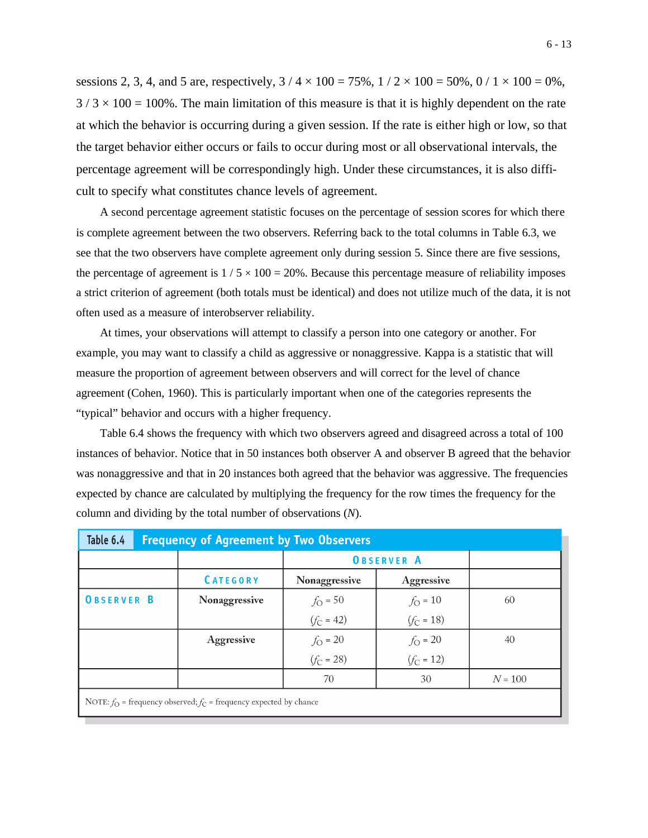sessions 2, 3, 4, and 5 are, respectively,  $3 / 4 \times 100 = 75\%$ ,  $1 / 2 \times 100 = 50\%$ ,  $0 / 1 \times 100 = 0\%$ ,  $3/3 \times 100 = 100\%$ . The main limitation of this measure is that it is highly dependent on the rate at which the behavior is occurring during a given session. If the rate is either high or low, so that the target behavior either occurs or fails to occur during most or all observational intervals, the percentage agreement will be correspondingly high. Under these circumstances, it is also difficult to specify what constitutes chance levels of agreement.

A second percentage agreement statistic focuses on the percentage of session scores for which there is complete agreement between the two observers. Referring back to the total columns in Table 6.3, we see that the two observers have complete agreement only during session 5. Since there are five sessions, the percentage of agreement is  $1/5 \times 100 = 20\%$ . Because this percentage measure of reliability imposes a strict criterion of agreement (both totals must be identical) and does not utilize much of the data, it is not often used as a measure of interobserver reliability.

At times, your observations will attempt to classify a person into one category or another. For example, you may want to classify a child as aggressive or nonaggressive. Kappa is a statistic that will measure the proportion of agreement between observers and will correct for the level of chance agreement (Cohen, 1960). This is particularly important when one of the categories represents the "typical" behavior and occurs with a higher frequency.

Table 6.4 shows the frequency with which two observers agreed and disagreed across a total of 100 instances of behavior. Notice that in 50 instances both observer A and observer B agreed that the behavior was nonaggressive and that in 20 instances both agreed that the behavior was aggressive. The frequencies expected by chance are calculated by multiplying the frequency for the row times the frequency for the column and dividing by the total number of observations (*N*).

| Table 6.4                                                                                | <b>Frequency of Agreement by Two Observers</b> |                 |                  |                   |           |  |
|------------------------------------------------------------------------------------------|------------------------------------------------|-----------------|------------------|-------------------|-----------|--|
|                                                                                          |                                                |                 |                  | <b>OBSERVER A</b> |           |  |
|                                                                                          |                                                | <b>CATEGORY</b> | Nonaggressive    | Aggressive        |           |  |
| <b>OBSERVER B</b>                                                                        |                                                | Nonaggressive   | $f_{\rm O} = 50$ | $f_{\rm O} = 10$  | 60        |  |
|                                                                                          |                                                |                 | $(f_C = 42)$     | $(f_C = 18)$      |           |  |
|                                                                                          |                                                | Aggressive      | $f_{O} = 20$     | $f_{O} = 20$      | 40        |  |
|                                                                                          |                                                |                 | $(f_C = 28)$     | $(f_C = 12)$      |           |  |
|                                                                                          |                                                |                 | 70               | 30                | $N = 100$ |  |
| NOTE: $f_{\text{O}}$ = frequency observed; $f_{\text{C}}$ = frequency expected by chance |                                                |                 |                  |                   |           |  |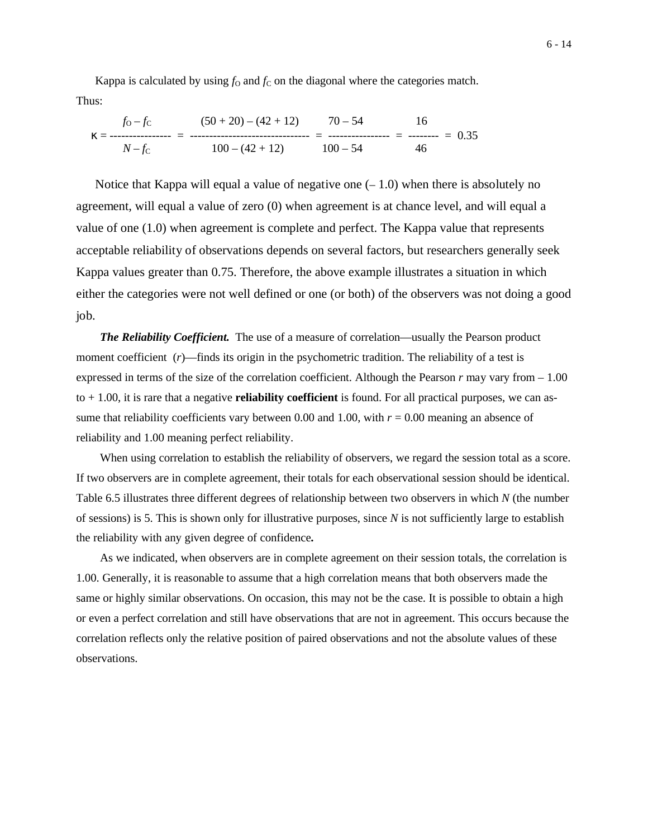Kappa is calculated by using  $f_0$  and  $f_c$  on the diagonal where the categories match. Thus:

| $f_{\rm O} - f_{\rm C}$ | $(50 + 20) - (42 + 12)$ | $70 - 54$  |    |  |
|-------------------------|-------------------------|------------|----|--|
|                         |                         |            |    |  |
| $N - f_C$               | $100 - (42 + 12)$       | $100 - 54$ | 46 |  |

Notice that Kappa will equal a value of negative one  $(-1.0)$  when there is absolutely no agreement, will equal a value of zero (0) when agreement is at chance level, and will equal a value of one (1.0) when agreement is complete and perfect. The Kappa value that represents acceptable reliability of observations depends on several factors, but researchers generally seek Kappa values greater than 0.75. Therefore, the above example illustrates a situation in which either the categories were not well defined or one (or both) of the observers was not doing a good job.

*The Reliability Coefficient.* The use of a measure of correlation—usually the Pearson product moment coefficient (*r*)—finds its origin in the psychometric tradition. The reliability of a test is expressed in terms of the size of the correlation coefficient. Although the Pearson *r* may vary from – 1.00 to + 1.00, it is rare that a negative **reliability coefficient** is found. For all practical purposes, we can assume that reliability coefficients vary between 0.00 and 1.00, with  $r = 0.00$  meaning an absence of reliability and 1.00 meaning perfect reliability.

When using correlation to establish the reliability of observers, we regard the session total as a score. If two observers are in complete agreement, their totals for each observational session should be identical. Table 6.5 illustrates three different degrees of relationship between two observers in which *N* (the number of sessions) is 5. This is shown only for illustrative purposes, since *N* is not sufficiently large to establish the reliability with any given degree of confidence**.**

As we indicated, when observers are in complete agreement on their session totals, the correlation is 1.00. Generally, it is reasonable to assume that a high correlation means that both observers made the same or highly similar observations. On occasion, this may not be the case. It is possible to obtain a high or even a perfect correlation and still have observations that are not in agreement. This occurs because the correlation reflects only the relative position of paired observations and not the absolute values of these observations.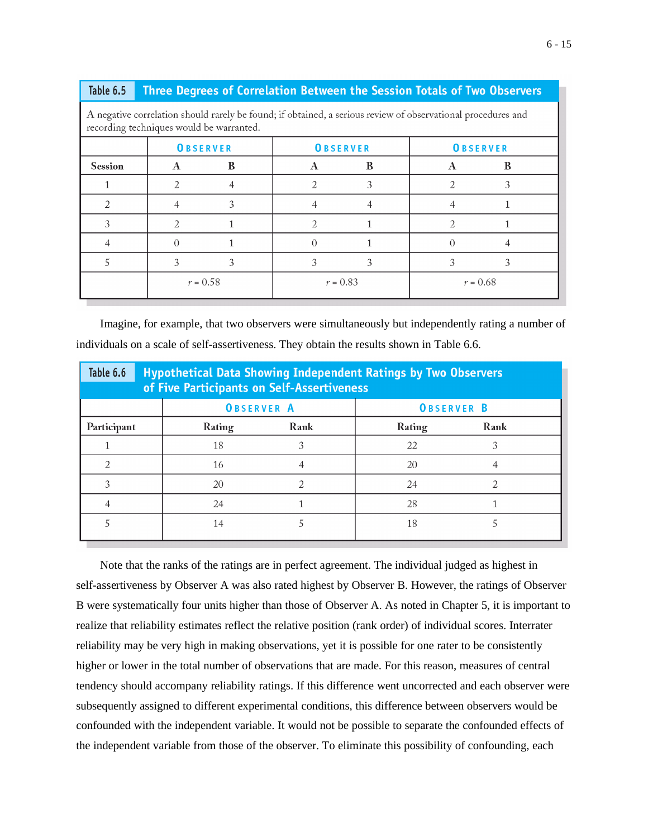|         | A negative correlation should rarely be found; if obtained, a serious review of observational procedures and<br>recording techniques would be warranted. |                 |                 |   |                 |  |  |
|---------|----------------------------------------------------------------------------------------------------------------------------------------------------------|-----------------|-----------------|---|-----------------|--|--|
|         |                                                                                                                                                          | <b>OBSERVER</b> | <b>OBSERVER</b> |   | <b>OBSERVER</b> |  |  |
| Session | A                                                                                                                                                        | B               | A               |   | A               |  |  |
|         | ာ                                                                                                                                                        |                 | $\mathcal{D}$   | 3 |                 |  |  |
|         |                                                                                                                                                          | 3               |                 |   |                 |  |  |
|         |                                                                                                                                                          |                 |                 |   |                 |  |  |
|         |                                                                                                                                                          |                 |                 |   |                 |  |  |
|         | 3                                                                                                                                                        | 3               | 3               | 3 |                 |  |  |
|         |                                                                                                                                                          | $r = 0.58$      | $r = 0.83$      |   | $r = 0.68$      |  |  |

**Table 6.5** Three Degrees of Correlation Between the Session Totals of Two Observers

Imagine, for example, that two observers were simultaneously but independently rating a number of

individuals on a scale of self-assertiveness. They obtain the results shown in Table 6.6.

| Table 6.6                                                                                                                                                       | <b>Hypothetical Data Showing Independent Ratings by Two Observers</b><br>of Five Participants on Self-Assertiveness |                   |      |                   |      |  |  |
|-----------------------------------------------------------------------------------------------------------------------------------------------------------------|---------------------------------------------------------------------------------------------------------------------|-------------------|------|-------------------|------|--|--|
|                                                                                                                                                                 |                                                                                                                     | <b>OBSERVER A</b> |      | <b>OBSERVER B</b> |      |  |  |
| Participant                                                                                                                                                     |                                                                                                                     | Rating            | Rank | Rating            | Rank |  |  |
|                                                                                                                                                                 |                                                                                                                     | 18                |      | 22                |      |  |  |
| $\mathcal{D}_{\mathcal{L}}^{\mathcal{L}}(\mathcal{L})=\mathcal{L}_{\mathcal{L}}^{\mathcal{L}}(\mathcal{L})\mathcal{L}_{\mathcal{L}}^{\mathcal{L}}(\mathcal{L})$ |                                                                                                                     | 16                |      | 20                |      |  |  |
|                                                                                                                                                                 |                                                                                                                     | 20                |      | 24                |      |  |  |
| 4                                                                                                                                                               |                                                                                                                     | 24                |      | 28                |      |  |  |
|                                                                                                                                                                 |                                                                                                                     | 14                |      | 18                |      |  |  |

Note that the ranks of the ratings are in perfect agreement. The individual judged as highest in self-assertiveness by Observer A was also rated highest by Observer B. However, the ratings of Observer B were systematically four units higher than those of Observer A. As noted in Chapter 5, it is important to realize that reliability estimates reflect the relative position (rank order) of individual scores. Interrater reliability may be very high in making observations, yet it is possible for one rater to be consistently higher or lower in the total number of observations that are made. For this reason, measures of central tendency should accompany reliability ratings. If this difference went uncorrected and each observer were subsequently assigned to different experimental conditions, this difference between observers would be confounded with the independent variable. It would not be possible to separate the confounded effects of the independent variable from those of the observer. To eliminate this possibility of confounding, each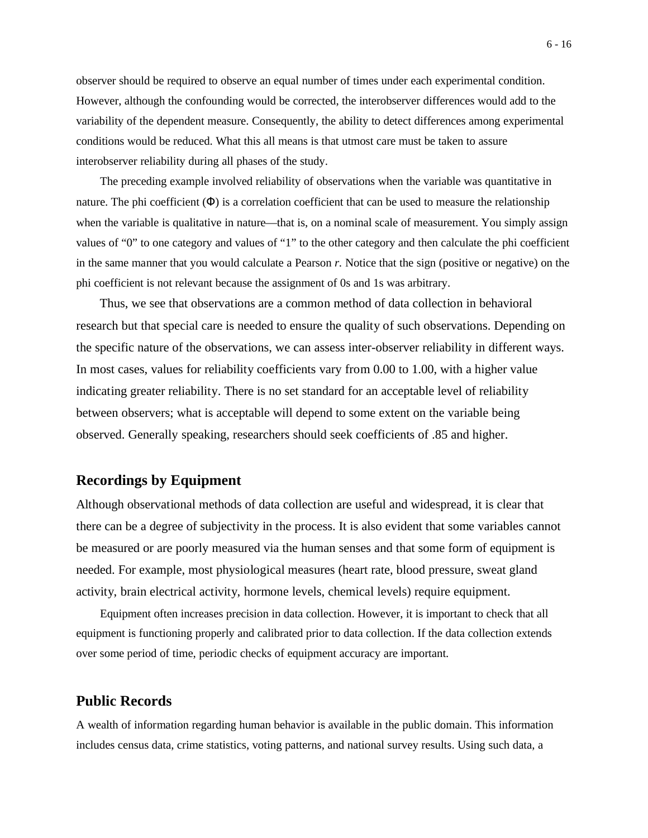observer should be required to observe an equal number of times under each experimental condition. However, although the confounding would be corrected, the interobserver differences would add to the variability of the dependent measure. Consequently, the ability to detect differences among experimental conditions would be reduced. What this all means is that utmost care must be taken to assure interobserver reliability during all phases of the study.

The preceding example involved reliability of observations when the variable was quantitative in nature. The phi coefficient  $(\Phi)$  is a correlation coefficient that can be used to measure the relationship when the variable is qualitative in nature—that is, on a nominal scale of measurement. You simply assign values of "0" to one category and values of "1" to the other category and then calculate the phi coefficient in the same manner that you would calculate a Pearson *r.* Notice that the sign (positive or negative) on the phi coefficient is not relevant because the assignment of 0s and 1s was arbitrary.

Thus, we see that observations are a common method of data collection in behavioral research but that special care is needed to ensure the quality of such observations. Depending on the specific nature of the observations, we can assess inter-observer reliability in different ways. In most cases, values for reliability coefficients vary from 0.00 to 1.00, with a higher value indicating greater reliability. There is no set standard for an acceptable level of reliability between observers; what is acceptable will depend to some extent on the variable being observed. Generally speaking, researchers should seek coefficients of .85 and higher.

## **Recordings by Equipment**

Although observational methods of data collection are useful and widespread, it is clear that there can be a degree of subjectivity in the process. It is also evident that some variables cannot be measured or are poorly measured via the human senses and that some form of equipment is needed. For example, most physiological measures (heart rate, blood pressure, sweat gland activity, brain electrical activity, hormone levels, chemical levels) require equipment.

Equipment often increases precision in data collection. However, it is important to check that all equipment is functioning properly and calibrated prior to data collection. If the data collection extends over some period of time, periodic checks of equipment accuracy are important.

# **Public Records**

A wealth of information regarding human behavior is available in the public domain. This information includes census data, crime statistics, voting patterns, and national survey results. Using such data, a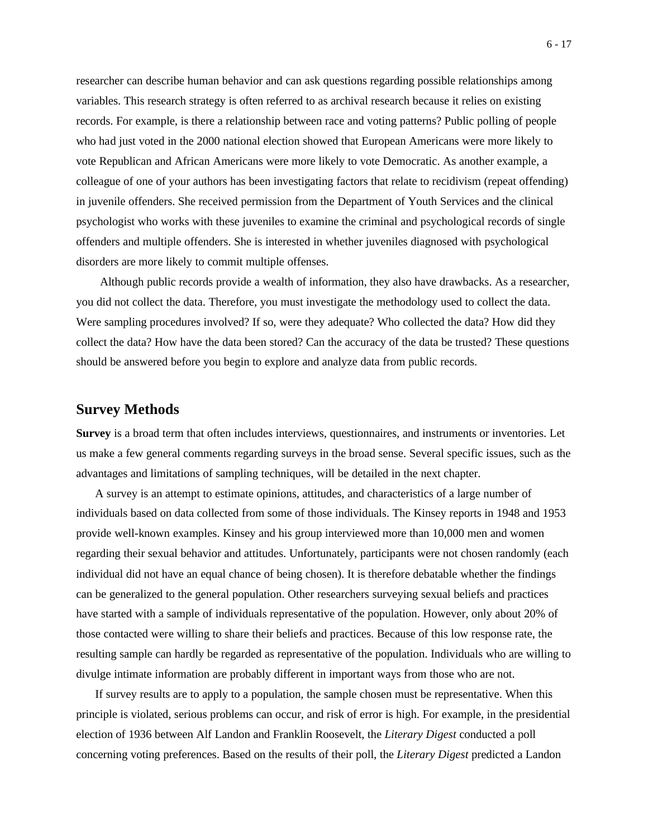researcher can describe human behavior and can ask questions regarding possible relationships among variables. This research strategy is often referred to as archival research because it relies on existing records. For example, is there a relationship between race and voting patterns? Public polling of people who had just voted in the 2000 national election showed that European Americans were more likely to vote Republican and African Americans were more likely to vote Democratic. As another example, a colleague of one of your authors has been investigating factors that relate to recidivism (repeat offending) in juvenile offenders. She received permission from the Department of Youth Services and the clinical psychologist who works with these juveniles to examine the criminal and psychological records of single offenders and multiple offenders. She is interested in whether juveniles diagnosed with psychological disorders are more likely to commit multiple offenses.

Although public records provide a wealth of information, they also have drawbacks. As a researcher, you did not collect the data. Therefore, you must investigate the methodology used to collect the data. Were sampling procedures involved? If so, were they adequate? Who collected the data? How did they collect the data? How have the data been stored? Can the accuracy of the data be trusted? These questions should be answered before you begin to explore and analyze data from public records.

## **Survey Methods**

**Survey** is a broad term that often includes interviews, questionnaires, and instruments or inventories. Let us make a few general comments regarding surveys in the broad sense. Several specific issues, such as the advantages and limitations of sampling techniques, will be detailed in the next chapter.

A survey is an attempt to estimate opinions, attitudes, and characteristics of a large number of individuals based on data collected from some of those individuals. The Kinsey reports in 1948 and 1953 provide well-known examples. Kinsey and his group interviewed more than 10,000 men and women regarding their sexual behavior and attitudes. Unfortunately, participants were not chosen randomly (each individual did not have an equal chance of being chosen). It is therefore debatable whether the findings can be generalized to the general population. Other researchers surveying sexual beliefs and practices have started with a sample of individuals representative of the population. However, only about 20% of those contacted were willing to share their beliefs and practices. Because of this low response rate, the resulting sample can hardly be regarded as representative of the population. Individuals who are willing to divulge intimate information are probably different in important ways from those who are not.

If survey results are to apply to a population, the sample chosen must be representative. When this principle is violated, serious problems can occur, and risk of error is high. For example, in the presidential election of 1936 between Alf Landon and Franklin Roosevelt, the *Literary Digest* conducted a poll concerning voting preferences. Based on the results of their poll, the *Literary Digest* predicted a Landon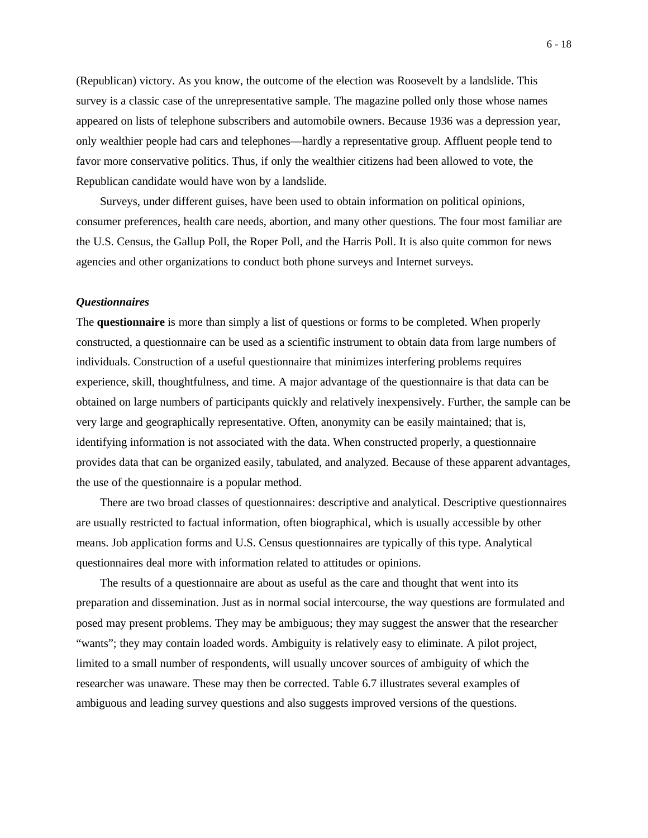(Republican) victory. As you know, the outcome of the election was Roosevelt by a landslide. This survey is a classic case of the unrepresentative sample. The magazine polled only those whose names appeared on lists of telephone subscribers and automobile owners. Because 1936 was a depression year, only wealthier people had cars and telephones—hardly a representative group. Affluent people tend to favor more conservative politics. Thus, if only the wealthier citizens had been allowed to vote, the Republican candidate would have won by a landslide.

Surveys, under different guises, have been used to obtain information on political opinions, consumer preferences, health care needs, abortion, and many other questions. The four most familiar are the U.S. Census, the Gallup Poll, the Roper Poll, and the Harris Poll. It is also quite common for news agencies and other organizations to conduct both phone surveys and Internet surveys.

## *Questionnaires*

The **questionnaire** is more than simply a list of questions or forms to be completed. When properly constructed, a questionnaire can be used as a scientific instrument to obtain data from large numbers of individuals. Construction of a useful questionnaire that minimizes interfering problems requires experience, skill, thoughtfulness, and time. A major advantage of the questionnaire is that data can be obtained on large numbers of participants quickly and relatively inexpensively. Further, the sample can be very large and geographically representative. Often, anonymity can be easily maintained; that is, identifying information is not associated with the data. When constructed properly, a questionnaire provides data that can be organized easily, tabulated, and analyzed. Because of these apparent advantages, the use of the questionnaire is a popular method.

There are two broad classes of questionnaires: descriptive and analytical. Descriptive questionnaires are usually restricted to factual information, often biographical, which is usually accessible by other means. Job application forms and U.S. Census questionnaires are typically of this type. Analytical questionnaires deal more with information related to attitudes or opinions.

The results of a questionnaire are about as useful as the care and thought that went into its preparation and dissemination. Just as in normal social intercourse, the way questions are formulated and posed may present problems. They may be ambiguous; they may suggest the answer that the researcher "wants"; they may contain loaded words. Ambiguity is relatively easy to eliminate. A pilot project, limited to a small number of respondents, will usually uncover sources of ambiguity of which the researcher was unaware. These may then be corrected. Table 6.7 illustrates several examples of ambiguous and leading survey questions and also suggests improved versions of the questions.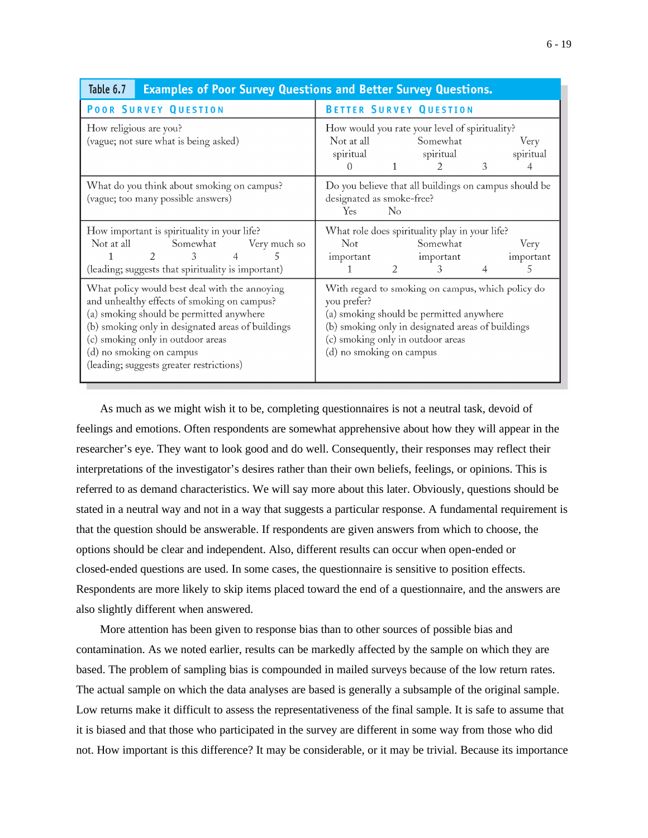| Table 6.7                                                                                                                                                                                                                                                                                                  | <b>Examples of Poor Survey Questions and Better Survey Questions.</b>                                                                                                                                                              |  |  |  |  |
|------------------------------------------------------------------------------------------------------------------------------------------------------------------------------------------------------------------------------------------------------------------------------------------------------------|------------------------------------------------------------------------------------------------------------------------------------------------------------------------------------------------------------------------------------|--|--|--|--|
| <b>POOR SURVEY QUESTION</b>                                                                                                                                                                                                                                                                                | <b>BETTER SURVEY QUESTION</b>                                                                                                                                                                                                      |  |  |  |  |
| How religious are you?<br>(vague; not sure what is being asked)                                                                                                                                                                                                                                            | How would you rate your level of spirituality?<br>Somewhat<br>Not at all<br>Very<br>spiritual<br>spiritual<br>spiritual<br>3<br>$\mathbf{1}$<br>$\Omega$<br>2<br>4                                                                 |  |  |  |  |
| What do you think about smoking on campus?<br>(vague; too many possible answers)                                                                                                                                                                                                                           | Do you believe that all buildings on campus should be<br>designated as smoke-free?<br>Yes<br>N <sub>o</sub>                                                                                                                        |  |  |  |  |
| How important is spirituality in your life?<br>Not at all<br>Somewhat<br>Very much so<br>$\mathfrak{D}$<br>3<br>5<br>4<br>(leading; suggests that spirituality is important)                                                                                                                               | What role does spirituality play in your life?<br>Somewhat<br><b>Not</b><br>Very<br>important<br>important<br>important<br>2<br>3<br>5<br>4                                                                                        |  |  |  |  |
| What policy would best deal with the annoying<br>and unhealthy effects of smoking on campus?<br>(a) smoking should be permitted anywhere<br>(b) smoking only in designated areas of buildings<br>(c) smoking only in outdoor areas<br>(d) no smoking on campus<br>(leading; suggests greater restrictions) | With regard to smoking on campus, which policy do<br>you prefer?<br>(a) smoking should be permitted anywhere<br>(b) smoking only in designated areas of buildings<br>(c) smoking only in outdoor areas<br>(d) no smoking on campus |  |  |  |  |

As much as we might wish it to be, completing questionnaires is not a neutral task, devoid of feelings and emotions. Often respondents are somewhat apprehensive about how they will appear in the researcher's eye. They want to look good and do well. Consequently, their responses may reflect their interpretations of the investigator's desires rather than their own beliefs, feelings, or opinions. This is referred to as demand characteristics. We will say more about this later. Obviously, questions should be stated in a neutral way and not in a way that suggests a particular response. A fundamental requirement is that the question should be answerable. If respondents are given answers from which to choose, the options should be clear and independent. Also, different results can occur when open-ended or closed-ended questions are used. In some cases, the questionnaire is sensitive to position effects. Respondents are more likely to skip items placed toward the end of a questionnaire, and the answers are also slightly different when answered.

More attention has been given to response bias than to other sources of possible bias and contamination. As we noted earlier, results can be markedly affected by the sample on which they are based. The problem of sampling bias is compounded in mailed surveys because of the low return rates. The actual sample on which the data analyses are based is generally a subsample of the original sample. Low returns make it difficult to assess the representativeness of the final sample. It is safe to assume that it is biased and that those who participated in the survey are different in some way from those who did not. How important is this difference? It may be considerable, or it may be trivial. Because its importance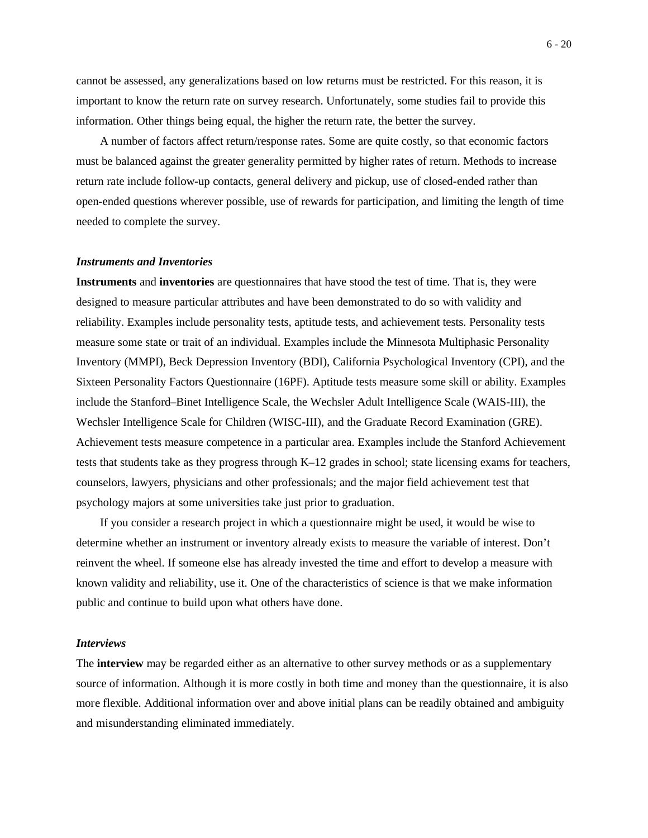cannot be assessed, any generalizations based on low returns must be restricted. For this reason, it is important to know the return rate on survey research. Unfortunately, some studies fail to provide this information. Other things being equal, the higher the return rate, the better the survey.

A number of factors affect return/response rates. Some are quite costly, so that economic factors must be balanced against the greater generality permitted by higher rates of return. Methods to increase return rate include follow-up contacts, general delivery and pickup, use of closed-ended rather than open-ended questions wherever possible, use of rewards for participation, and limiting the length of time needed to complete the survey.

#### *Instruments and Inventories*

**Instruments** and **inventories** are questionnaires that have stood the test of time. That is, they were designed to measure particular attributes and have been demonstrated to do so with validity and reliability. Examples include personality tests, aptitude tests, and achievement tests. Personality tests measure some state or trait of an individual. Examples include the Minnesota Multiphasic Personality Inventory (MMPI), Beck Depression Inventory (BDI), California Psychological Inventory (CPI), and the Sixteen Personality Factors Questionnaire (16PF). Aptitude tests measure some skill or ability. Examples include the Stanford–Binet Intelligence Scale, the Wechsler Adult Intelligence Scale (WAIS-III), the Wechsler Intelligence Scale for Children (WISC-III), and the Graduate Record Examination (GRE). Achievement tests measure competence in a particular area. Examples include the Stanford Achievement tests that students take as they progress through K–12 grades in school; state licensing exams for teachers, counselors, lawyers, physicians and other professionals; and the major field achievement test that psychology majors at some universities take just prior to graduation.

If you consider a research project in which a questionnaire might be used, it would be wise to determine whether an instrument or inventory already exists to measure the variable of interest. Don't reinvent the wheel. If someone else has already invested the time and effort to develop a measure with known validity and reliability, use it. One of the characteristics of science is that we make information public and continue to build upon what others have done.

#### *Interviews*

The **interview** may be regarded either as an alternative to other survey methods or as a supplementary source of information. Although it is more costly in both time and money than the questionnaire, it is also more flexible. Additional information over and above initial plans can be readily obtained and ambiguity and misunderstanding eliminated immediately.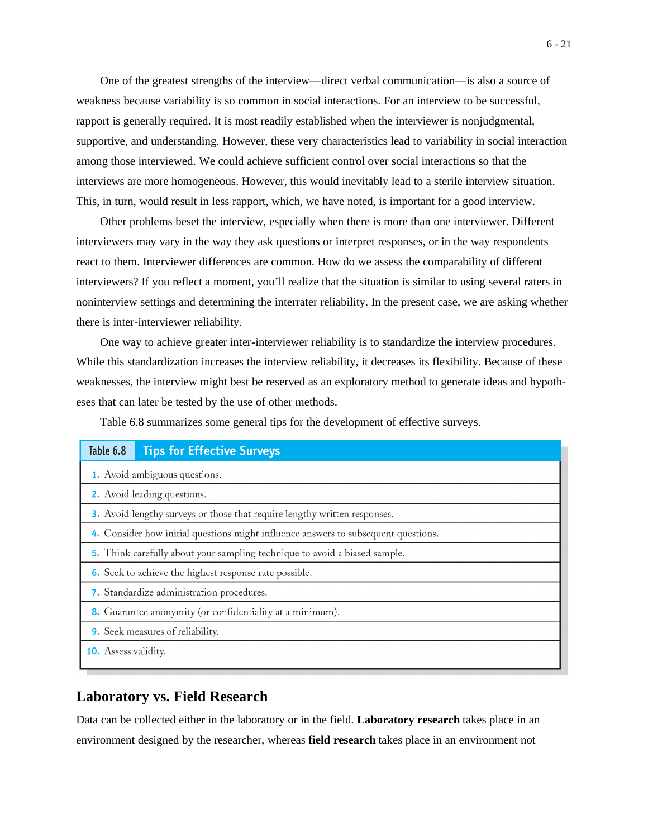One of the greatest strengths of the interview—direct verbal communication—is also a source of weakness because variability is so common in social interactions. For an interview to be successful, rapport is generally required. It is most readily established when the interviewer is nonjudgmental, supportive, and understanding. However, these very characteristics lead to variability in social interaction among those interviewed. We could achieve sufficient control over social interactions so that the interviews are more homogeneous. However, this would inevitably lead to a sterile interview situation. This, in turn, would result in less rapport, which, we have noted, is important for a good interview.

Other problems beset the interview, especially when there is more than one interviewer. Different interviewers may vary in the way they ask questions or interpret responses, or in the way respondents react to them. Interviewer differences are common. How do we assess the comparability of different interviewers? If you reflect a moment, you'll realize that the situation is similar to using several raters in noninterview settings and determining the interrater reliability. In the present case, we are asking whether there is inter-interviewer reliability.

One way to achieve greater inter-interviewer reliability is to standardize the interview procedures. While this standardization increases the interview reliability, it decreases its flexibility. Because of these weaknesses, the interview might best be reserved as an exploratory method to generate ideas and hypotheses that can later be tested by the use of other methods.

Table 6.8 summarizes some general tips for the development of effective surveys.

| Table 6.8                                 | <b>Tips for Effective Surveys</b>                                                  |  |  |  |  |  |
|-------------------------------------------|------------------------------------------------------------------------------------|--|--|--|--|--|
|                                           | 1. Avoid ambiguous questions.                                                      |  |  |  |  |  |
|                                           | 2. Avoid leading questions.                                                        |  |  |  |  |  |
|                                           | 3. Avoid lengthy surveys or those that require lengthy written responses.          |  |  |  |  |  |
|                                           | 4. Consider how initial questions might influence answers to subsequent questions. |  |  |  |  |  |
|                                           | 5. Think carefully about your sampling technique to avoid a biased sample.         |  |  |  |  |  |
|                                           | 6. Seek to achieve the highest response rate possible.                             |  |  |  |  |  |
| 7. Standardize administration procedures. |                                                                                    |  |  |  |  |  |
|                                           | 8. Guarantee anonymity (or confidentiality at a minimum).                          |  |  |  |  |  |
| 9. Seek measures of reliability.          |                                                                                    |  |  |  |  |  |
|                                           | <b>10.</b> Assess validity.                                                        |  |  |  |  |  |

## **Laboratory vs. Field Research**

Data can be collected either in the laboratory or in the field. **Laboratory research** takes place in an environment designed by the researcher, whereas **field research** takes place in an environment not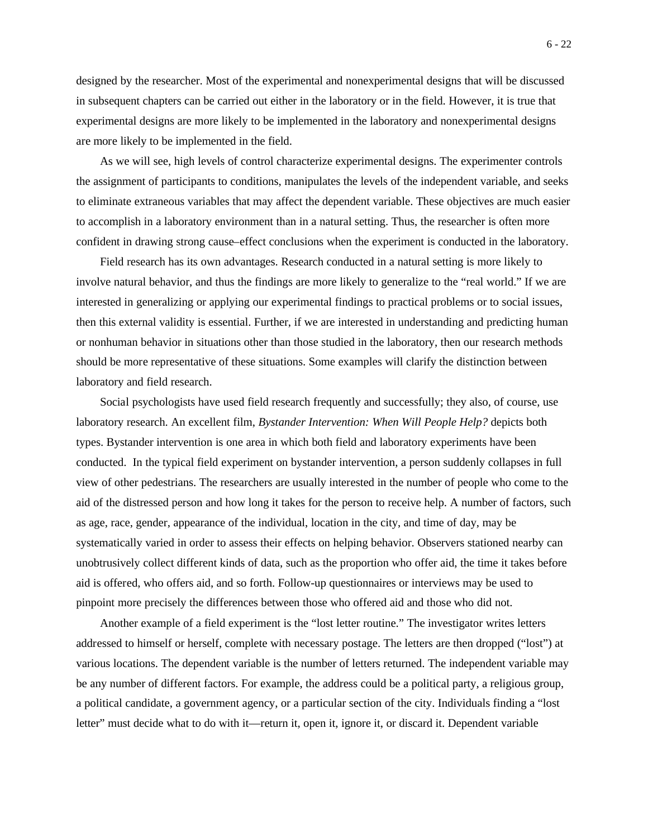designed by the researcher. Most of the experimental and nonexperimental designs that will be discussed in subsequent chapters can be carried out either in the laboratory or in the field. However, it is true that experimental designs are more likely to be implemented in the laboratory and nonexperimental designs are more likely to be implemented in the field.

As we will see, high levels of control characterize experimental designs. The experimenter controls the assignment of participants to conditions, manipulates the levels of the independent variable, and seeks to eliminate extraneous variables that may affect the dependent variable. These objectives are much easier to accomplish in a laboratory environment than in a natural setting. Thus, the researcher is often more confident in drawing strong cause–effect conclusions when the experiment is conducted in the laboratory.

Field research has its own advantages. Research conducted in a natural setting is more likely to involve natural behavior, and thus the findings are more likely to generalize to the "real world." If we are interested in generalizing or applying our experimental findings to practical problems or to social issues, then this external validity is essential. Further, if we are interested in understanding and predicting human or nonhuman behavior in situations other than those studied in the laboratory, then our research methods should be more representative of these situations. Some examples will clarify the distinction between laboratory and field research.

Social psychologists have used field research frequently and successfully; they also, of course, use laboratory research. An excellent film, *Bystander Intervention: When Will People Help?* depicts both types. Bystander intervention is one area in which both field and laboratory experiments have been conducted. In the typical field experiment on bystander intervention, a person suddenly collapses in full view of other pedestrians. The researchers are usually interested in the number of people who come to the aid of the distressed person and how long it takes for the person to receive help. A number of factors, such as age, race, gender, appearance of the individual, location in the city, and time of day, may be systematically varied in order to assess their effects on helping behavior. Observers stationed nearby can unobtrusively collect different kinds of data, such as the proportion who offer aid, the time it takes before aid is offered, who offers aid, and so forth. Follow-up questionnaires or interviews may be used to pinpoint more precisely the differences between those who offered aid and those who did not.

Another example of a field experiment is the "lost letter routine." The investigator writes letters addressed to himself or herself, complete with necessary postage. The letters are then dropped ("lost") at various locations. The dependent variable is the number of letters returned. The independent variable may be any number of different factors. For example, the address could be a political party, a religious group, a political candidate, a government agency, or a particular section of the city. Individuals finding a "lost letter" must decide what to do with it—return it, open it, ignore it, or discard it. Dependent variable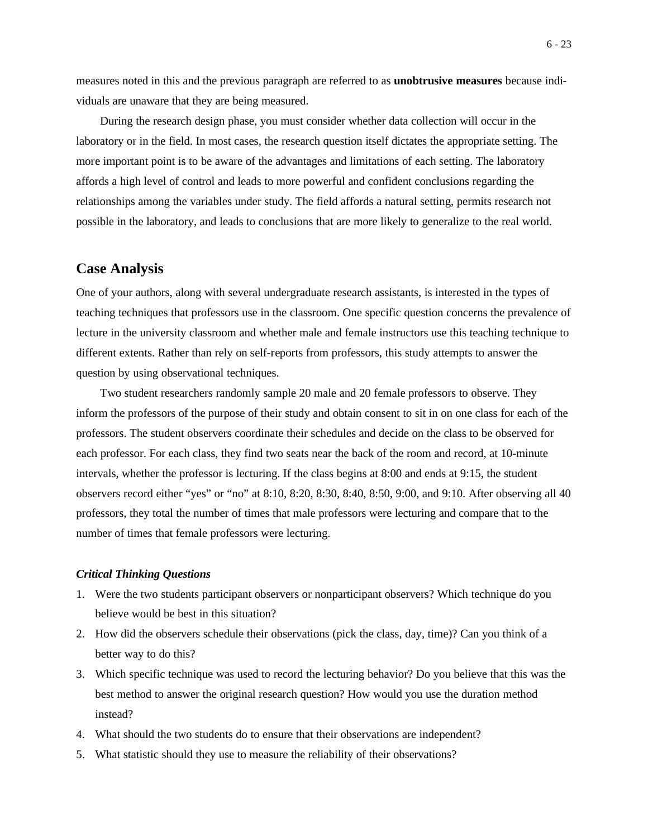measures noted in this and the previous paragraph are referred to as **unobtrusive measures** because individuals are unaware that they are being measured.

During the research design phase, you must consider whether data collection will occur in the laboratory or in the field. In most cases, the research question itself dictates the appropriate setting. The more important point is to be aware of the advantages and limitations of each setting. The laboratory affords a high level of control and leads to more powerful and confident conclusions regarding the relationships among the variables under study. The field affords a natural setting, permits research not possible in the laboratory, and leads to conclusions that are more likely to generalize to the real world.

#### **Case Analysis**

One of your authors, along with several undergraduate research assistants, is interested in the types of teaching techniques that professors use in the classroom. One specific question concerns the prevalence of lecture in the university classroom and whether male and female instructors use this teaching technique to different extents. Rather than rely on self-reports from professors, this study attempts to answer the question by using observational techniques.

Two student researchers randomly sample 20 male and 20 female professors to observe. They inform the professors of the purpose of their study and obtain consent to sit in on one class for each of the professors. The student observers coordinate their schedules and decide on the class to be observed for each professor. For each class, they find two seats near the back of the room and record, at 10-minute intervals, whether the professor is lecturing. If the class begins at 8:00 and ends at 9:15, the student observers record either "yes" or "no" at 8:10, 8:20, 8:30, 8:40, 8:50, 9:00, and 9:10. After observing all 40 professors, they total the number of times that male professors were lecturing and compare that to the number of times that female professors were lecturing.

#### *Critical Thinking Questions*

- 1. Were the two students participant observers or nonparticipant observers? Which technique do you believe would be best in this situation?
- 2. How did the observers schedule their observations (pick the class, day, time)? Can you think of a better way to do this?
- 3. Which specific technique was used to record the lecturing behavior? Do you believe that this was the best method to answer the original research question? How would you use the duration method instead?
- 4. What should the two students do to ensure that their observations are independent?
- 5. What statistic should they use to measure the reliability of their observations?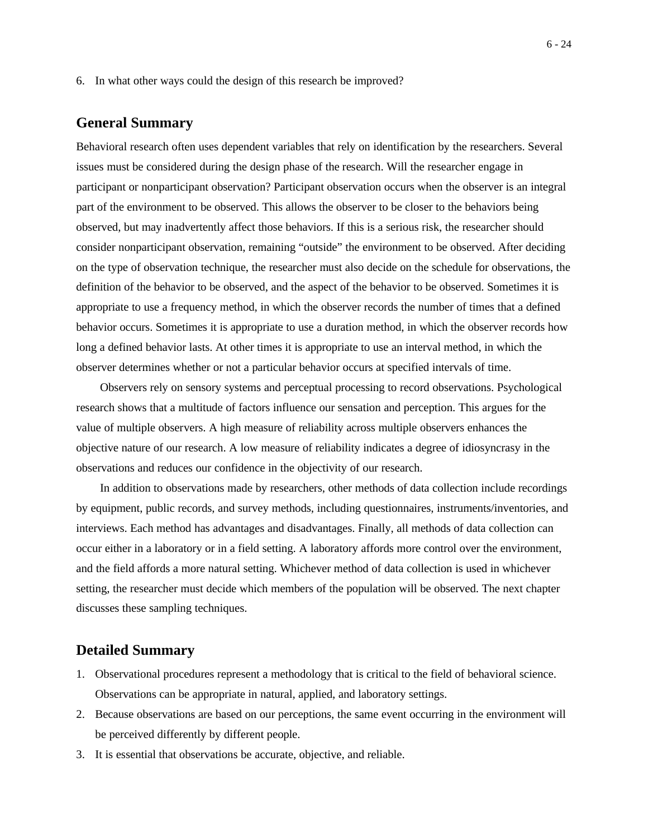6. In what other ways could the design of this research be improved?

## **General Summary**

Behavioral research often uses dependent variables that rely on identification by the researchers. Several issues must be considered during the design phase of the research. Will the researcher engage in participant or nonparticipant observation? Participant observation occurs when the observer is an integral part of the environment to be observed. This allows the observer to be closer to the behaviors being observed, but may inadvertently affect those behaviors. If this is a serious risk, the researcher should consider nonparticipant observation, remaining "outside" the environment to be observed. After deciding on the type of observation technique, the researcher must also decide on the schedule for observations, the definition of the behavior to be observed, and the aspect of the behavior to be observed. Sometimes it is appropriate to use a frequency method, in which the observer records the number of times that a defined behavior occurs. Sometimes it is appropriate to use a duration method, in which the observer records how long a defined behavior lasts. At other times it is appropriate to use an interval method, in which the observer determines whether or not a particular behavior occurs at specified intervals of time.

Observers rely on sensory systems and perceptual processing to record observations. Psychological research shows that a multitude of factors influence our sensation and perception. This argues for the value of multiple observers. A high measure of reliability across multiple observers enhances the objective nature of our research. A low measure of reliability indicates a degree of idiosyncrasy in the observations and reduces our confidence in the objectivity of our research.

In addition to observations made by researchers, other methods of data collection include recordings by equipment, public records, and survey methods, including questionnaires, instruments/inventories, and interviews. Each method has advantages and disadvantages. Finally, all methods of data collection can occur either in a laboratory or in a field setting. A laboratory affords more control over the environment, and the field affords a more natural setting. Whichever method of data collection is used in whichever setting, the researcher must decide which members of the population will be observed. The next chapter discusses these sampling techniques.

## **Detailed Summary**

- 1. Observational procedures represent a methodology that is critical to the field of behavioral science. Observations can be appropriate in natural, applied, and laboratory settings.
- 2. Because observations are based on our perceptions, the same event occurring in the environment will be perceived differently by different people.
- 3. It is essential that observations be accurate, objective, and reliable.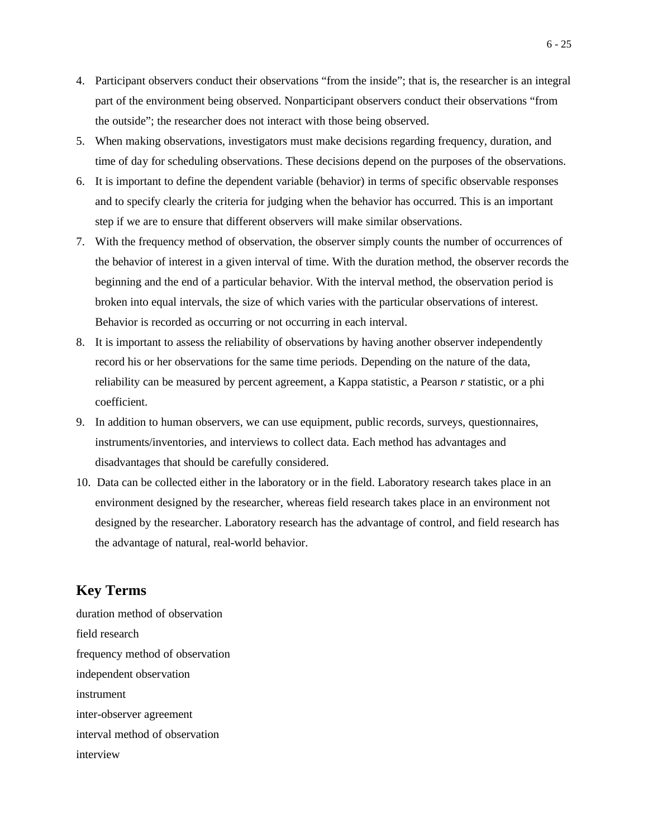- 4. Participant observers conduct their observations "from the inside"; that is, the researcher is an integral part of the environment being observed. Nonparticipant observers conduct their observations "from the outside"; the researcher does not interact with those being observed.
- 5. When making observations, investigators must make decisions regarding frequency, duration, and time of day for scheduling observations. These decisions depend on the purposes of the observations.
- 6. It is important to define the dependent variable (behavior) in terms of specific observable responses and to specify clearly the criteria for judging when the behavior has occurred. This is an important step if we are to ensure that different observers will make similar observations.
- 7. With the frequency method of observation, the observer simply counts the number of occurrences of the behavior of interest in a given interval of time. With the duration method, the observer records the beginning and the end of a particular behavior. With the interval method, the observation period is broken into equal intervals, the size of which varies with the particular observations of interest. Behavior is recorded as occurring or not occurring in each interval.
- 8. It is important to assess the reliability of observations by having another observer independently record his or her observations for the same time periods*.* Depending on the nature of the data, reliability can be measured by percent agreement, a Kappa statistic, a Pearson *r* statistic, or a phi coefficient.
- 9. In addition to human observers, we can use equipment, public records, surveys, questionnaires, instruments/inventories, and interviews to collect data. Each method has advantages and disadvantages that should be carefully considered.
- 10. Data can be collected either in the laboratory or in the field. Laboratory research takes place in an environment designed by the researcher, whereas field research takes place in an environment not designed by the researcher. Laboratory research has the advantage of control, and field research has the advantage of natural, real-world behavior.

# **Key Terms**

duration method of observation field research frequency method of observation independent observation instrument inter-observer agreement interval method of observation interview